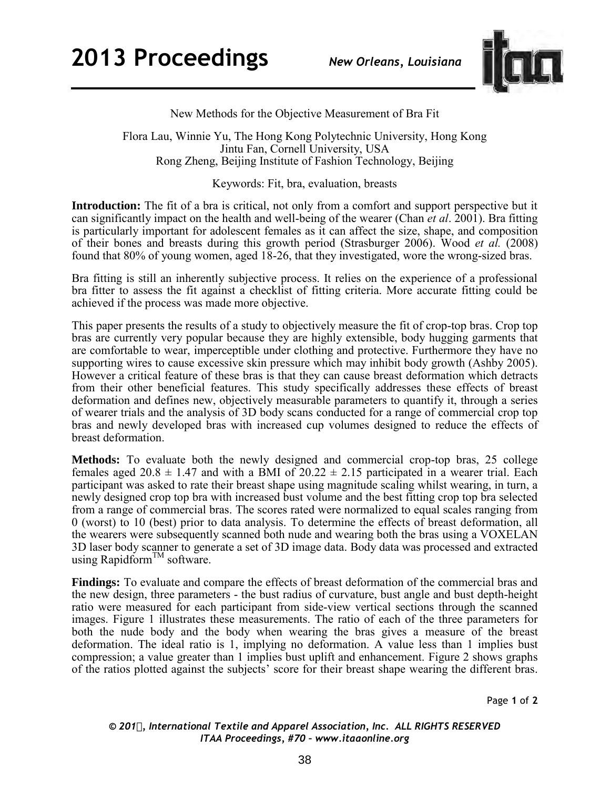

New Methods for the Objective Measurement of Bra Fit

Flora Lau, Winnie Yu, The Hong Kong Polytechnic University, Hong Kong Jintu Fan, Cornell University, USA Rong Zheng, Beijing Institute of Fashion Technology, Beijing

Keywords: Fit, bra, evaluation, breasts

**Introduction:** The fit of a bra is critical, not only from a comfort and support perspective but it can significantly impact on the health and well-being of the wearer (Chan *et al*. 2001). Bra fitting is particularly important for adolescent females as it can affect the size, shape, and composition of their bones and breasts during this growth period (Strasburger 2006). Wood *et al.* (2008) found that 80% of young women, aged 18-26, that they investigated, wore the wrong-sized bras.

Bra fitting is still an inherently subjective process. It relies on the experience of a professional bra fitter to assess the fit against a checklist of fitting criteria. More accurate fitting could be achieved if the process was made more objective.

This paper presents the results of a study to objectively measure the fit of crop-top bras. Crop top bras are currently very popular because they are highly extensible, body hugging garments that are comfortable to wear, imperceptible under clothing and protective. Furthermore they have no supporting wires to cause excessive skin pressure which may inhibit body growth (Ashby 2005). However a critical feature of these bras is that they can cause breast deformation which detracts from their other beneficial features. This study specifically addresses these effects of breast deformation and defines new, objectively measurable parameters to quantify it, through a series of wearer trials and the analysis of 3D body scans conducted for a range of commercial crop top bras and newly developed bras with increased cup volumes designed to reduce the effects of breast deformation.

**Methods:** To evaluate both the newly designed and commercial crop-top bras, 25 college females aged  $20.8 \pm 1.47$  and with a BMI of  $20.22 \pm 2.15$  participated in a wearer trial. Each participant was asked to rate their breast shape using magnitude scaling whilst wearing, in turn, a newly designed crop top bra with increased bust volume and the best fitting crop top bra selected from a range of commercial bras. The scores rated were normalized to equal scales ranging from 0 (worst) to 10 (best) prior to data analysis. To determine the effects of breast deformation, all the wearers were subsequently scanned both nude and wearing both the bras using a VOXELAN 3D laser body scanner to generate a set of 3D image data. Body data was processed and extracted using Rapidform<sup>TM</sup> software.

**Findings:** To evaluate and compare the effects of breast deformation of the commercial bras and the new design, three parameters - the bust radius of curvature, bust angle and bust depth-height ratio were measured for each participant from side-view vertical sections through the scanned images. Figure 1 illustrates these measurements. The ratio of each of the three parameters for both the nude body and the body when wearing the bras gives a measure of the breast deformation. The ideal ratio is 1, implying no deformation. A value less than 1 implies bust compression; a value greater than 1 implies bust uplift and enhancement. Figure 2 shows graphs of the ratios plotted against the subjects' score for their breast shape wearing the different bras.

Page **1** of **2** 

*© 201, International Textile and Apparel Association, Inc. ALL RIGHTS RESERVED ITAA Proceedings, #70 – www.itaaonline.org*